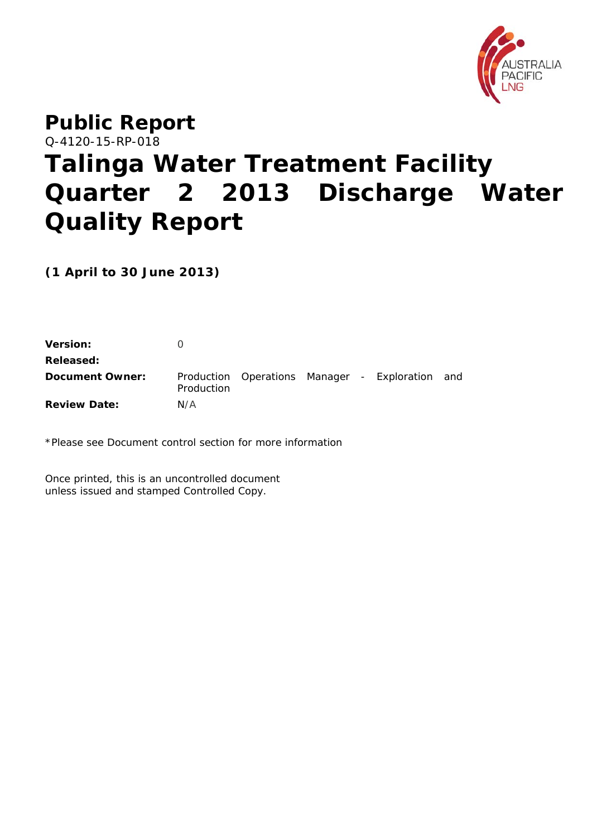

# **Public Report**  Q-4120-15-RP-018 **Talinga Water Treatment Facility Quarter 2 2013 Discharge Water Quality Report**

**(1 April to 30 June 2013)** 

| <b>Version:</b>     |            |  |                                                 |  |
|---------------------|------------|--|-------------------------------------------------|--|
| Released:           |            |  |                                                 |  |
| Document Owner:     | Production |  | Production Operations Manager - Exploration and |  |
| <b>Review Date:</b> | N/A        |  |                                                 |  |

\*Please see Document control section for more information

Once printed, this is an uncontrolled document unless issued and stamped Controlled Copy.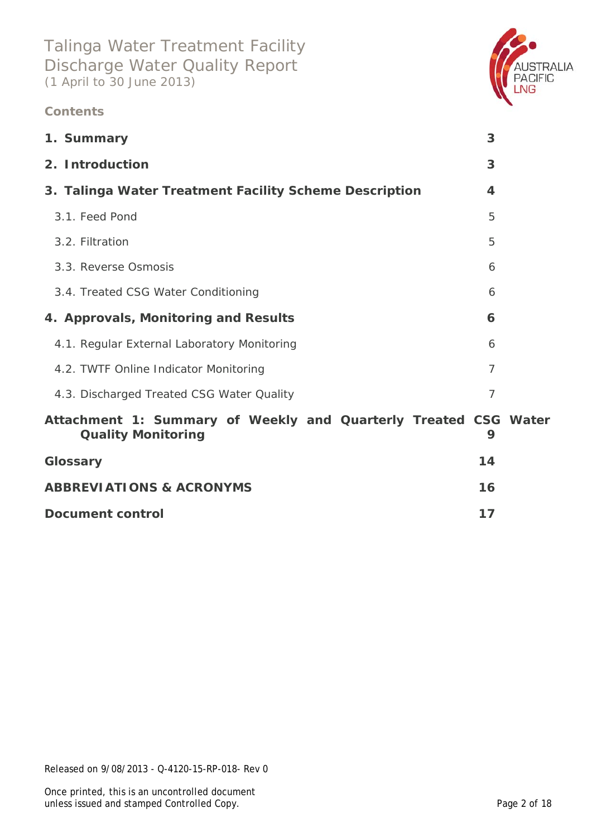### **Contents**



| 1. Summary                                                                                   | 3              |  |
|----------------------------------------------------------------------------------------------|----------------|--|
| 2. Introduction                                                                              | 3              |  |
| 3. Talinga Water Treatment Facility Scheme Description                                       | 4              |  |
| 3.1. Feed Pond                                                                               | 5              |  |
| 3.2. Filtration                                                                              | 5              |  |
| 3.3. Reverse Osmosis                                                                         | 6              |  |
| 3.4. Treated CSG Water Conditioning                                                          | 6              |  |
| 4. Approvals, Monitoring and Results                                                         | 6              |  |
| 4.1. Regular External Laboratory Monitoring                                                  | 6              |  |
| 4.2. TWTF Online Indicator Monitoring                                                        | $\overline{7}$ |  |
| 4.3. Discharged Treated CSG Water Quality                                                    | $\overline{7}$ |  |
| Attachment 1: Summary of Weekly and Quarterly Treated CSG Water<br><b>Quality Monitoring</b> | 9              |  |
| Glossary                                                                                     | 14             |  |
| <b>ABBREVIATIONS &amp; ACRONYMS</b>                                                          | 16             |  |
| <b>Document control</b>                                                                      | 17             |  |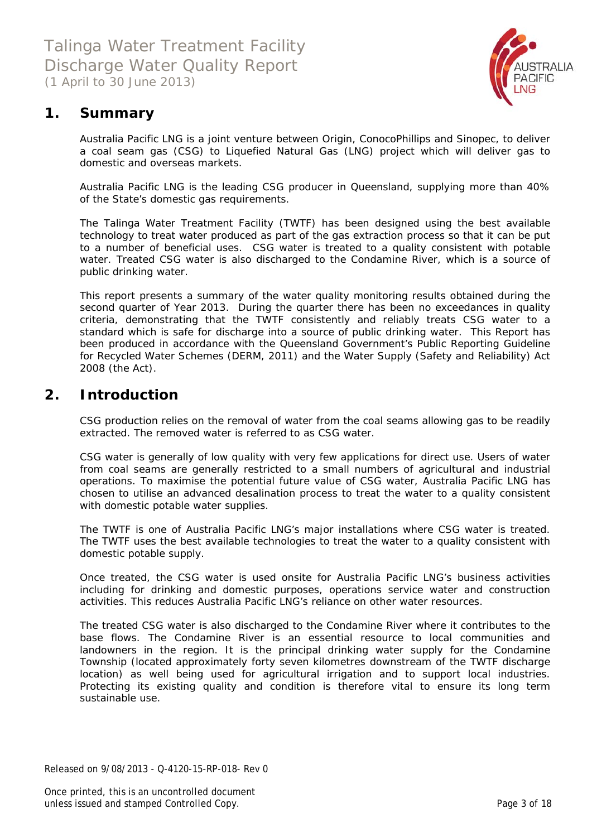

### **1. Summary**

Australia Pacific LNG is a joint venture between Origin, ConocoPhillips and Sinopec, to deliver a coal seam gas (CSG) to Liquefied Natural Gas (LNG) project which will deliver gas to domestic and overseas markets.

Australia Pacific LNG is the leading CSG producer in Queensland, supplying more than 40% of the State's domestic gas requirements.

The Talinga Water Treatment Facility (TWTF) has been designed using the best available technology to treat water produced as part of the gas extraction process so that it can be put to a number of beneficial uses. CSG water is treated to a quality consistent with potable water. Treated CSG water is also discharged to the Condamine River, which is a source of public drinking water.

This report presents a summary of the water quality monitoring results obtained during the second quarter of Year 2013. During the quarter there has been *no exceedances in quality criteria*, demonstrating that the TWTF consistently and reliably treats CSG water to a standard which is safe for discharge into a source of public drinking water. This Report has been produced in accordance with the Queensland Government's *Public Reporting Guideline for Recycled Water Schemes* (DERM, 2011) and the *Water Supply (Safety and Reliability) Act 2008* (the Act).

### **2. Introduction**

CSG production relies on the removal of water from the coal seams allowing gas to be readily extracted. The removed water is referred to as CSG water.

CSG water is generally of low quality with very few applications for direct use. Users of water from coal seams are generally restricted to a small numbers of agricultural and industrial operations. To maximise the potential future value of CSG water, Australia Pacific LNG has chosen to utilise an advanced desalination process to treat the water to a quality consistent with domestic potable water supplies.

The TWTF is one of Australia Pacific LNG's major installations where CSG water is treated. The TWTF uses the best available technologies to treat the water to a quality consistent with domestic potable supply.

Once treated, the CSG water is used onsite for Australia Pacific LNG's business activities including for drinking and domestic purposes, operations service water and construction activities. This reduces Australia Pacific LNG's reliance on other water resources.

The treated CSG water is also discharged to the Condamine River where it contributes to the base flows. The Condamine River is an essential resource to local communities and landowners in the region. It is the principal drinking water supply for the Condamine Township (located approximately forty seven kilometres downstream of the TWTF discharge location) as well being used for agricultural irrigation and to support local industries. Protecting its existing quality and condition is therefore vital to ensure its long term sustainable use.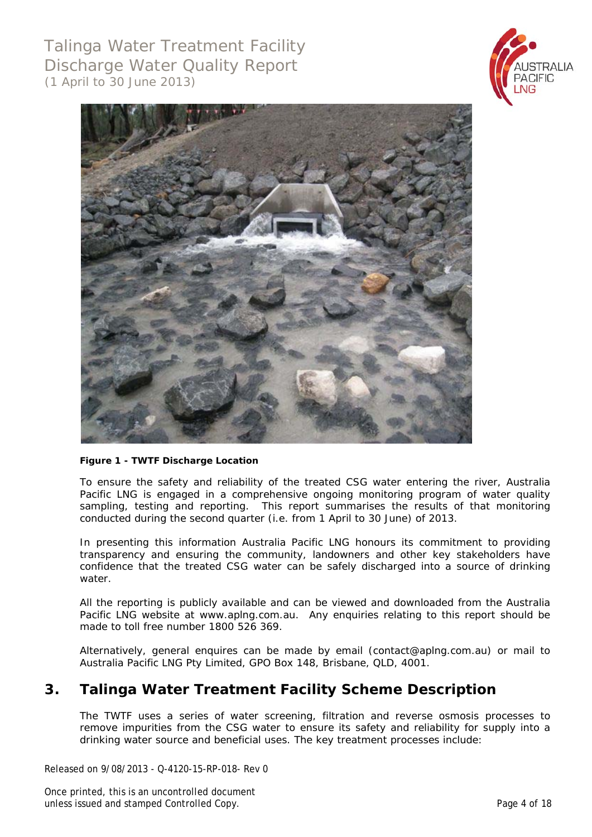



#### **Figure 1 - TWTF Discharge Location**

To ensure the safety and reliability of the treated CSG water entering the river, Australia Pacific LNG is engaged in a comprehensive ongoing monitoring program of water quality sampling, testing and reporting. This report summarises the results of that monitoring conducted during the second quarter (i.e. from 1 April to 30 June) of 2013.

In presenting this information Australia Pacific LNG honours its commitment to providing transparency and ensuring the community, landowners and other key stakeholders have confidence that the treated CSG water can be safely discharged into a source of drinking water

All the reporting is publicly available and can be viewed and downloaded from the Australia Pacific LNG website at www.aplng.com.au. Any enquiries relating to this report should be made to toll free number 1800 526 369.

Alternatively, general enquires can be made by email (contact@aplng.com.au) or mail to Australia Pacific LNG Pty Limited, GPO Box 148, Brisbane, QLD, 4001.

### **3. Talinga Water Treatment Facility Scheme Description**

The TWTF uses a series of water screening, filtration and reverse osmosis processes to remove impurities from the CSG water to ensure its safety and reliability for supply into a drinking water source and beneficial uses. The key treatment processes include:

Released on 9/08/2013 - Q-4120-15-RP-018- Rev 0

Once printed, this is an uncontrolled document unless issued and stamped Controlled Copy. The controlled Copy and the controlled Copy.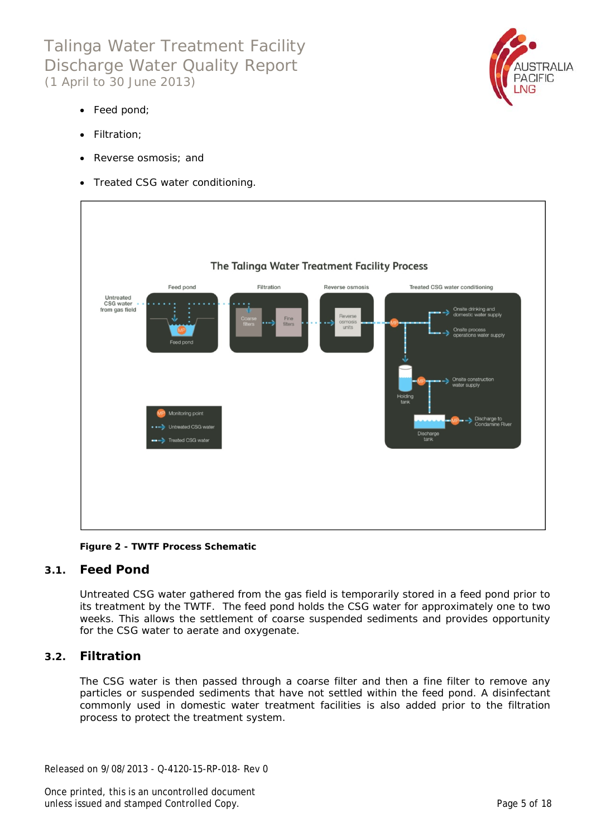

- Feed pond;
- Filtration;
- Reverse osmosis; and
- Treated CSG water conditioning.



**Figure 2 - TWTF Process Schematic** 

### **3.1. Feed Pond**

Untreated CSG water gathered from the gas field is temporarily stored in a feed pond prior to its treatment by the TWTF. The feed pond holds the CSG water for approximately one to two weeks. This allows the settlement of coarse suspended sediments and provides opportunity for the CSG water to aerate and oxygenate.

### **3.2. Filtration**

The CSG water is then passed through a coarse filter and then a fine filter to remove any particles or suspended sediments that have not settled within the feed pond. A disinfectant commonly used in domestic water treatment facilities is also added prior to the filtration process to protect the treatment system.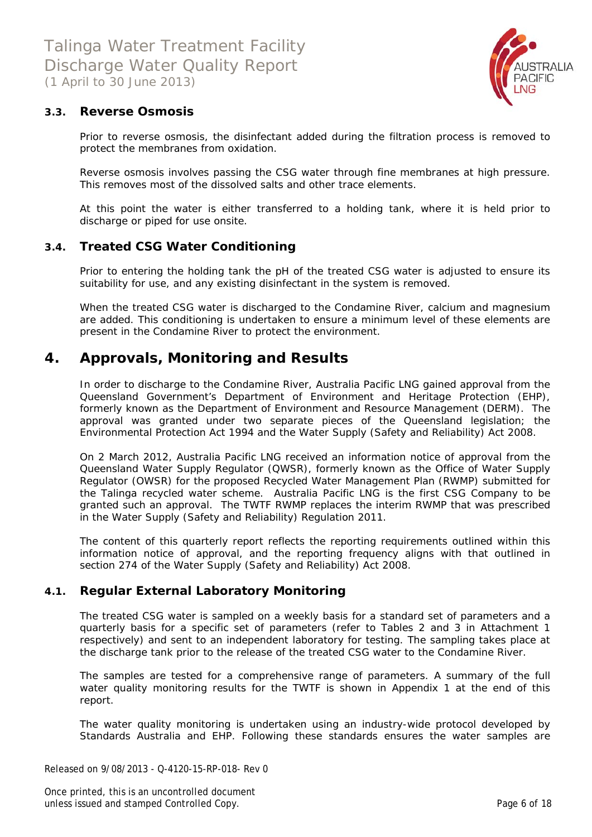

### **3.3. Reverse Osmosis**

Prior to reverse osmosis, the disinfectant added during the filtration process is removed to protect the membranes from oxidation.

Reverse osmosis involves passing the CSG water through fine membranes at high pressure. This removes most of the dissolved salts and other trace elements.

At this point the water is either transferred to a holding tank, where it is held prior to discharge or piped for use onsite.

#### **3.4. Treated CSG Water Conditioning**

Prior to entering the holding tank the pH of the treated CSG water is adjusted to ensure its suitability for use, and any existing disinfectant in the system is removed.

When the treated CSG water is discharged to the Condamine River, calcium and magnesium are added. This conditioning is undertaken to ensure a minimum level of these elements are present in the Condamine River to protect the environment.

### **4. Approvals, Monitoring and Results**

In order to discharge to the Condamine River, Australia Pacific LNG gained approval from the Queensland Government's Department of Environment and Heritage Protection (EHP), formerly known as the Department of Environment and Resource Management (DERM). The approval was granted under two separate pieces of the Queensland legislation; the *Environmental Protection* Act 1994 and the *Water Supply (Safety and Reliability) Act 2008*.

On 2 March 2012, Australia Pacific LNG received an information notice of approval from the Queensland Water Supply Regulator (QWSR), formerly known as the Office of Water Supply Regulator (OWSR) for the proposed Recycled Water Management Plan (RWMP) submitted for the Talinga recycled water scheme. Australia Pacific LNG is the first CSG Company to be granted such an approval. The TWTF RWMP replaces the interim RWMP that was prescribed in the *Water Supply (Safety and Reliability) Regulation 2011*.

The content of this quarterly report reflects the reporting requirements outlined within this information notice of approval, and the reporting frequency aligns with that outlined in section 274 of the *Water Supply (Safety and Reliability) Act 2008*.

### **4.1. Regular External Laboratory Monitoring**

The treated CSG water is sampled on a weekly basis for a standard set of parameters and a quarterly basis for a specific set of parameters (refer to Tables 2 and 3 in Attachment 1 respectively) and sent to an independent laboratory for testing. The sampling takes place at the discharge tank prior to the release of the treated CSG water to the Condamine River.

The samples are tested for a comprehensive range of parameters. A summary of the full water quality monitoring results for the TWTF is shown in Appendix 1 at the end of this report.

The water quality monitoring is undertaken using an industry-wide protocol developed by Standards Australia and EHP. Following these standards ensures the water samples are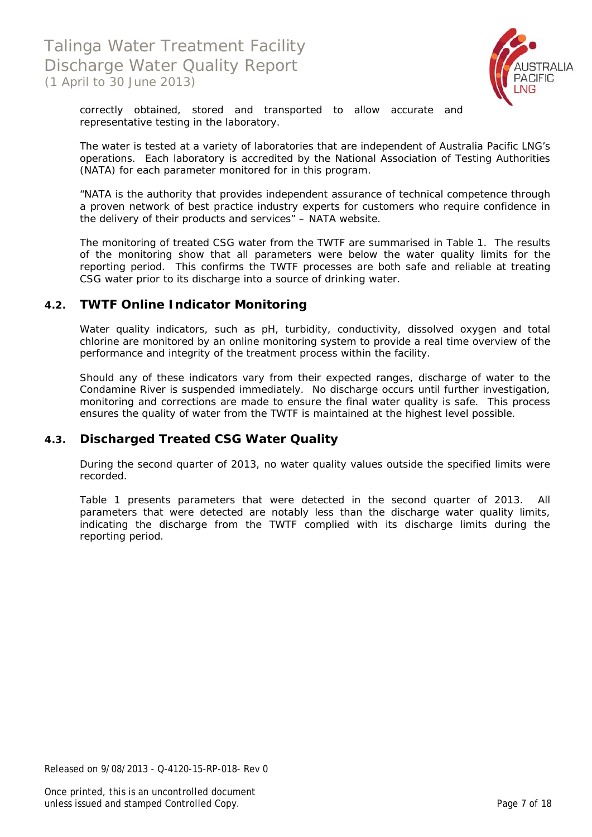

correctly obtained, stored and transported to allow accurate and representative testing in the laboratory.

The water is tested at a variety of laboratories that are independent of Australia Pacific LNG's operations. Each laboratory is accredited by the National Association of Testing Authorities (NATA) for each parameter monitored for in this program.

*"NATA is the authority that provides independent assurance of technical competence through a proven network of best practice industry experts for customers who require confidence in the delivery of their products and services"* – NATA website.

The monitoring of treated CSG water from the TWTF are summarised in Table 1. The results of the monitoring show that all parameters were below the water quality limits for the reporting period. This confirms the TWTF processes are both safe and reliable at treating CSG water prior to its discharge into a source of drinking water.

### **4.2. TWTF Online Indicator Monitoring**

Water quality indicators, such as pH, turbidity, conductivity, dissolved oxygen and total chlorine are monitored by an online monitoring system to provide a real time overview of the performance and integrity of the treatment process within the facility.

Should any of these indicators vary from their expected ranges, discharge of water to the Condamine River is suspended immediately. No discharge occurs until further investigation, monitoring and corrections are made to ensure the final water quality is safe. This process ensures the quality of water from the TWTF is maintained at the highest level possible.

### **4.3. Discharged Treated CSG Water Quality**

During the second quarter of 2013, no water quality values outside the specified limits were recorded.

Table 1 presents parameters that were detected in the second quarter of 2013. All parameters that were detected are notably less than the discharge water quality limits, indicating the discharge from the TWTF complied with its discharge limits during the reporting period.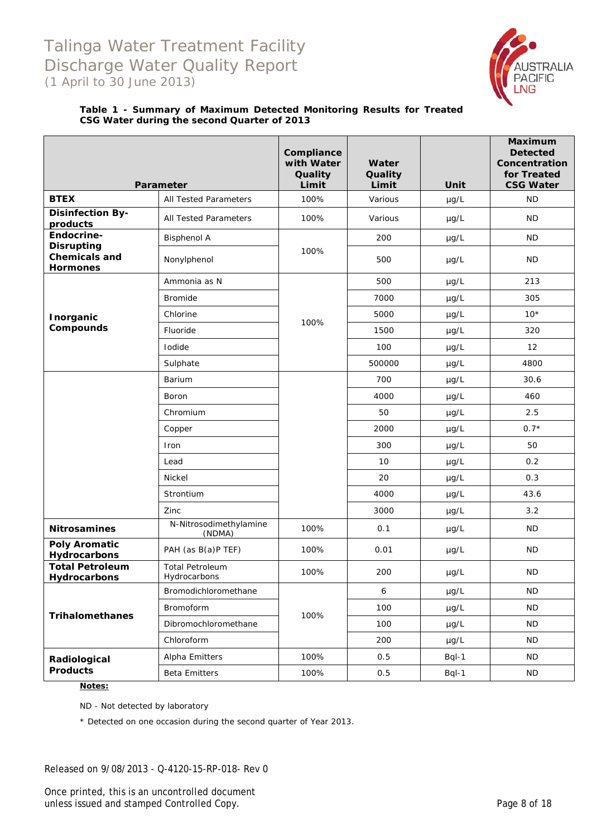

#### **Table 1 - Summary of Maximum Detected Monitoring Results for Treated CSG Water during the second Quarter of 2013**

|                                                              | Parameter                              | Compliance<br>with Water<br>Quality<br>Limit | Water<br>Quality<br>Limit | Unit      | <b>Maximum</b><br><b>Detected</b><br>Concentration<br>for Treated<br><b>CSG Water</b> |
|--------------------------------------------------------------|----------------------------------------|----------------------------------------------|---------------------------|-----------|---------------------------------------------------------------------------------------|
| <b>BTEX</b>                                                  | All Tested Parameters                  | 100%                                         | Various                   | µg/L      | <b>ND</b>                                                                             |
| <b>Disinfection By-</b><br>products                          | All Tested Parameters                  | 100%                                         | Various                   | $\mu g/L$ | <b>ND</b>                                                                             |
| Endocrine-                                                   | <b>Bisphenol A</b>                     |                                              | 200                       | $\mu$ g/L | <b>ND</b>                                                                             |
| <b>Disrupting</b><br><b>Chemicals and</b><br><b>Hormones</b> | Nonylphenol                            | 100%                                         | 500                       | $\mu$ g/L | <b>ND</b>                                                                             |
|                                                              | Ammonia as N                           |                                              | 500                       | $\mu$ g/L | 213                                                                                   |
|                                                              | <b>Bromide</b>                         |                                              | 7000                      | $\mu$ g/L | 305                                                                                   |
| <b>Inorganic</b>                                             | Chlorine                               | 100%                                         | 5000                      | $\mu$ g/L | $10*$                                                                                 |
| Compounds                                                    | Fluoride                               |                                              | 1500                      | $\mu$ g/L | 320                                                                                   |
|                                                              | Iodide                                 |                                              | 100                       | $\mu$ g/L | $12 \overline{ }$                                                                     |
|                                                              | Sulphate                               |                                              | 500000                    | $\mu$ g/L | 4800                                                                                  |
|                                                              | Barium                                 |                                              | 700                       | $\mu$ g/L | 30.6                                                                                  |
|                                                              | Boron                                  |                                              | 4000                      | $\mu$ g/L | 460                                                                                   |
|                                                              | Chromium                               |                                              | 50                        | $\mu$ g/L | 2.5                                                                                   |
|                                                              | Copper                                 |                                              | 2000                      | µg/L      | $0.7*$                                                                                |
|                                                              | Iron                                   |                                              | 300                       | $\mu g/L$ | 50                                                                                    |
|                                                              | Lead                                   |                                              | 10                        | $\mu$ g/L | 0.2                                                                                   |
|                                                              | Nickel                                 |                                              | 20                        | $\mu$ g/L | 0.3                                                                                   |
|                                                              | Strontium                              |                                              | 4000                      | $\mu$ g/L | 43.6                                                                                  |
|                                                              | Zinc                                   |                                              | 3000                      | $\mu$ g/L | 3.2                                                                                   |
| <b>Nitrosamines</b>                                          | N-Nitrosodimethylamine<br>(NDMA)       | 100%                                         | 0.1                       | $\mu$ g/L | <b>ND</b>                                                                             |
| <b>Poly Aromatic</b><br>Hydrocarbons                         | PAH (as B(a)P TEF)                     | 100%                                         | 0.01                      | $\mu$ g/L | ND.                                                                                   |
| <b>Total Petroleum</b><br>Hydrocarbons                       | <b>Total Petroleum</b><br>Hydrocarbons | 100%                                         | 200                       | $\mu$ g/L | ND.                                                                                   |
|                                                              | Bromodichloromethane                   |                                              | 6                         | µg/L      | <b>ND</b>                                                                             |
| <b>Trihalomethanes</b>                                       | Bromoform                              | 100%                                         | 100                       | µg/L      | <b>ND</b>                                                                             |
|                                                              | Dibromochloromethane                   |                                              | 100                       | µg/L      | <b>ND</b>                                                                             |
|                                                              | Chloroform                             |                                              | 200                       | $\mu$ g/L | ND.                                                                                   |
| Radiological                                                 | Alpha Emitters                         | 100%                                         | 0.5                       | Bql-1     | ND.                                                                                   |
| <b>Products</b>                                              | <b>Beta Emitters</b>                   | 100%                                         | 0.5                       | Bql-1     | <b>ND</b>                                                                             |

#### **Notes:**

ND - Not detected by laboratory

\* Detected on one occasion during the second quarter of Year 2013.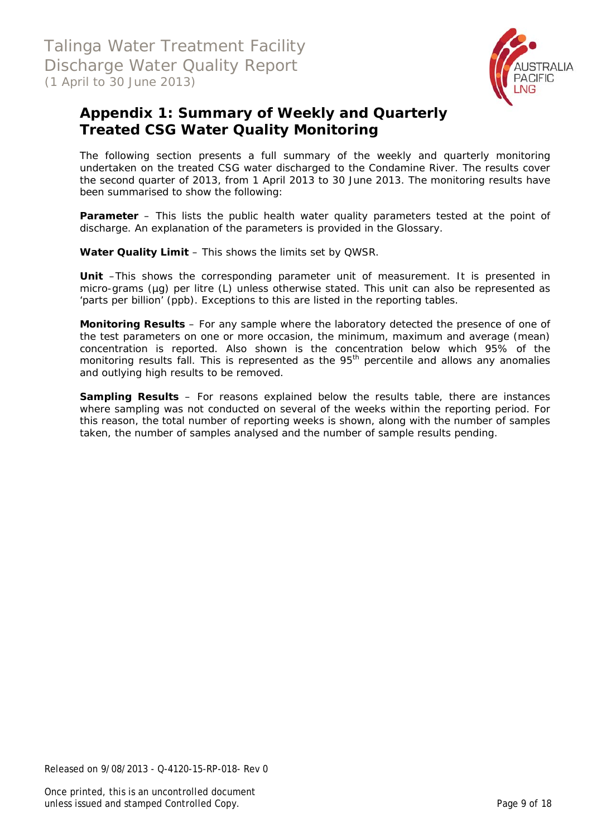

### **Appendix 1: Summary of Weekly and Quarterly Treated CSG Water Quality Monitoring**

The following section presents a full summary of the weekly and quarterly monitoring undertaken on the treated CSG water discharged to the Condamine River. The results cover the second quarter of 2013, from 1 April 2013 to 30 June 2013. The monitoring results have been summarised to show the following:

**Parameter** – This lists the public health water quality parameters tested at the point of discharge. An explanation of the parameters is provided in the Glossary.

**Water Quality Limit** – This shows the limits set by QWSR.

**Unit** –This shows the corresponding parameter unit of measurement. It is presented in micro-grams (µg) per litre (L) unless otherwise stated. This unit can also be represented as 'parts per billion' (ppb). Exceptions to this are listed in the reporting tables.

**Monitoring Results** – For any sample where the laboratory detected the presence of one of the test parameters on one or more occasion, the minimum, maximum and average (mean) concentration is reported. Also shown is the concentration below which 95% of the monitoring results fall. This is represented as the 95<sup>th</sup> percentile and allows any anomalies and outlying high results to be removed.

**Sampling Results** – For reasons explained below the results table, there are instances where sampling was not conducted on several of the weeks within the reporting period. For this reason, the total number of reporting weeks is shown, along with the number of samples taken, the number of samples analysed and the number of sample results pending.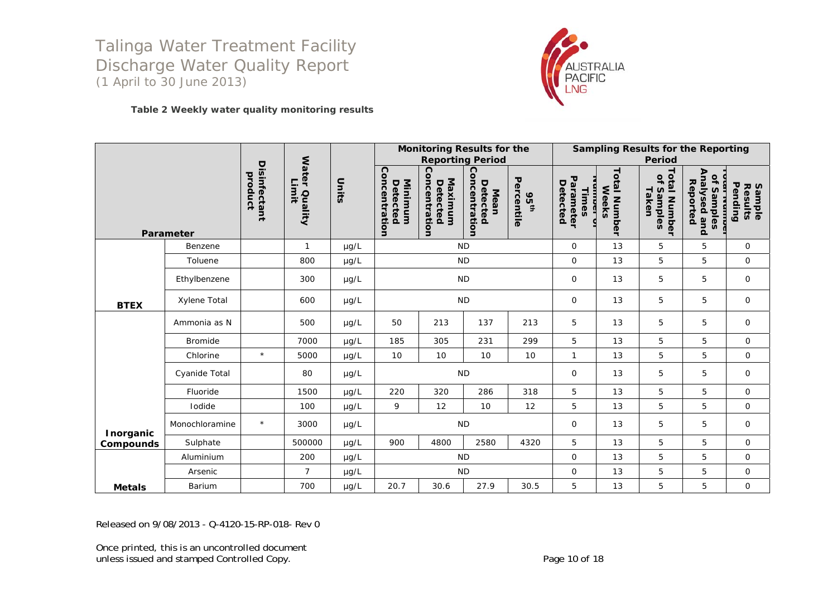

#### **Table 2 Weekly water quality monitoring results**

|                  |                |                                |                        |           |                                      | <b>Monitoring Results for the</b><br><b>Reporting Period</b> |                                   |                           |                                                 |                                 | <b>Sampling Results for the Reporting</b><br><b>Period</b> |                                                       |                              |
|------------------|----------------|--------------------------------|------------------------|-----------|--------------------------------------|--------------------------------------------------------------|-----------------------------------|---------------------------|-------------------------------------------------|---------------------------------|------------------------------------------------------------|-------------------------------------------------------|------------------------------|
|                  | Parameter      | <b>Disinfectant</b><br>product | Water Quality<br>Limit | Units     | Concentration<br>Minimum<br>Detected | Concentration<br>Maximum<br>Detected                         | Concentration<br>Detected<br>Mean | Percentile<br><b>95th</b> | Parameter<br>Detected<br>Times<br>$\frac{1}{6}$ | Total<br>Weeks<br><b>Number</b> | Total<br>$\overline{a}$<br>Taken<br>Samples<br>Number      | Analysed and<br>of Samples<br>Reported<br>נסו ואמוווה | Pending<br>Results<br>Sample |
|                  | Benzene        |                                | $\mathbf{1}$           | µg/L      |                                      | <b>ND</b>                                                    |                                   |                           | $\mathbf 0$                                     | 13                              | 5                                                          | 5                                                     | 0                            |
|                  | Toluene        |                                | 800                    | µg/L      |                                      | <b>ND</b>                                                    |                                   |                           | $\Omega$                                        | 13                              | 5                                                          | 5                                                     | $\mathsf{O}$                 |
|                  | Ethylbenzene   |                                | 300                    | $\mu$ g/L |                                      | <b>ND</b>                                                    |                                   |                           | $\mathbf 0$                                     | 13                              | 5                                                          | 5                                                     | $\mathbf 0$                  |
| <b>BTEX</b>      | Xylene Total   |                                | 600                    | $\mu$ g/L | <b>ND</b>                            |                                                              |                                   |                           | $\mathbf 0$                                     | 13                              | 5                                                          | 5                                                     | 0                            |
|                  | Ammonia as N   |                                | 500                    | $\mu$ g/L | 50                                   | 213                                                          | 137                               | 213                       | 5                                               | 13                              | 5                                                          | 5                                                     | 0                            |
|                  | <b>Bromide</b> |                                | 7000                   | µg/L      | 185                                  | 305                                                          | 231                               | 299                       | 5                                               | 13                              | 5                                                          | 5                                                     | $\mathsf{O}$                 |
|                  | Chlorine       | $\star$                        | 5000                   | $\mu g/L$ | 10                                   | 10                                                           | 10                                | 10                        | $\mathbf{1}$                                    | 13                              | 5                                                          | 5                                                     | $\mathbf{O}$                 |
|                  | Cyanide Total  |                                | 80                     | µg/L      |                                      | <b>ND</b>                                                    |                                   |                           | $\mathbf 0$                                     | 13                              | 5                                                          | 5                                                     | $\mathsf{O}$                 |
|                  | Fluoride       |                                | 1500                   | $\mu$ g/L | 220                                  | 320                                                          | 286                               | 318                       | 5                                               | 13                              | 5                                                          | 5                                                     | $\mathsf{O}$                 |
|                  | Iodide         |                                | 100                    | $\mu$ g/L | 9                                    | 12                                                           | 10                                | 12                        | 5                                               | 13                              | 5                                                          | 5                                                     | $\mathbf 0$                  |
| <b>Inorganic</b> | Monochloramine | $\star$                        | 3000                   | $\mu$ g/L |                                      | <b>ND</b>                                                    |                                   |                           | $\mathbf 0$                                     | 13                              | 5                                                          | 5                                                     | 0                            |
| Compounds        | Sulphate       |                                | 500000                 | µg/L      | 900                                  | 4800                                                         | 2580                              | 4320                      | 5                                               | 13                              | 5                                                          | 5                                                     | 0                            |
|                  | Aluminium      |                                | 200                    | µg/L      |                                      | <b>ND</b>                                                    |                                   |                           | $\mathbf 0$                                     | 13                              | 5                                                          | 5                                                     | 0                            |
|                  | Arsenic        |                                | $\overline{7}$         | µg/L      |                                      | <b>ND</b>                                                    |                                   |                           | $\mathbf 0$                                     | 13                              | 5                                                          | 5                                                     | $\mathsf{O}$                 |
| <b>Metals</b>    | Barium         |                                | 700                    | µg/L      | 20.7                                 | 30.6                                                         | 27.9                              | 30.5                      | 5                                               | 13                              | 5                                                          | 5                                                     | $\mathsf{O}$                 |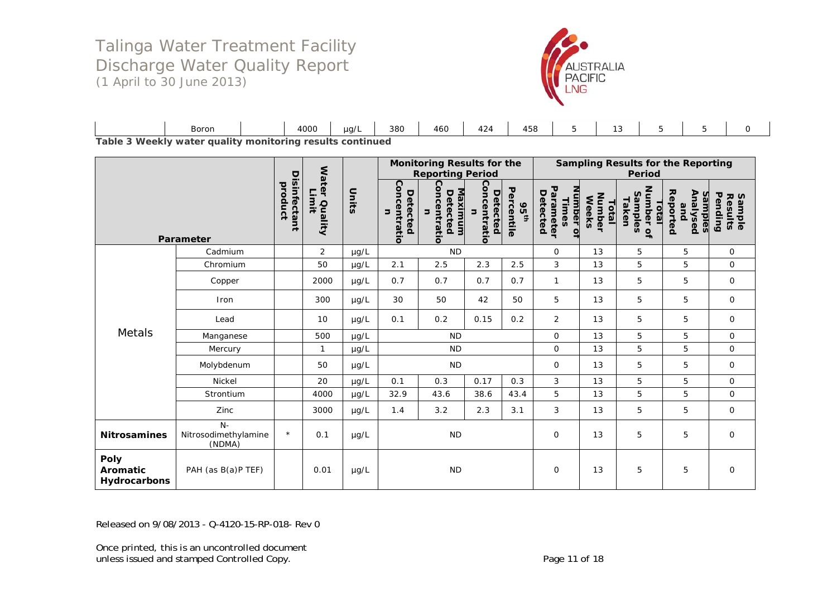

|                      | Boron   |            | 4000    | $\mu$ g/  | 380 | 460 | 424 | 458<br>$\sim$ $\sim$ |  |  |  |
|----------------------|---------|------------|---------|-----------|-----|-----|-----|----------------------|--|--|--|
| Table 3 Weekly water | quality | monitorina | results | continued |     |     |     |                      |  |  |  |

|                                  |                                        |                         |                                  |           | <b>Monitoring Results for the</b><br><b>Reporting Period</b> |                                                 |                               |                                |                                             | <b>Sampling Results for the Reporting</b><br><b>Period</b> |                                        |                                               |                                      |  |  |
|----------------------------------|----------------------------------------|-------------------------|----------------------------------|-----------|--------------------------------------------------------------|-------------------------------------------------|-------------------------------|--------------------------------|---------------------------------------------|------------------------------------------------------------|----------------------------------------|-----------------------------------------------|--------------------------------------|--|--|
|                                  | Parameter                              | Disinfectant<br>product | <b>Water</b><br>Limit<br>Quality | Units     | Concentratio<br>Detected<br>コ                                | Concentratio<br><u>Maximum</u><br>Detected<br>コ | Concentratio<br>Detected<br>コ | Percentile<br>95 <sup>th</sup> | Parameter<br>Number of<br>Detected<br>Times | Number<br><b>Weeks</b><br>Total                            | Number of<br>Samples<br>Taken<br>Total | Reported<br>Analysed<br><u>samples</u><br>pue | Pending<br><b>Sample<br/>Results</b> |  |  |
|                                  | Cadmium                                |                         | $\overline{2}$                   | µg/L      |                                                              | <b>ND</b>                                       |                               |                                | $\mathsf{O}$                                | 13                                                         | 5                                      | 5                                             | $\mathsf{O}$                         |  |  |
|                                  | Chromium                               |                         | 50                               | µg/L      | 2.1                                                          | 2.5                                             | 2.3                           | 2.5                            | 3                                           | 13                                                         | 5                                      | 5                                             | $\mathsf{O}$                         |  |  |
|                                  | Copper                                 |                         | 2000                             | $\mu$ g/L | 0.7                                                          | 0.7                                             | 0.7                           | 0.7                            | $\mathbf{1}$                                | 13                                                         | 5                                      | 5                                             | 0                                    |  |  |
|                                  | <b>Iron</b>                            |                         | 300                              | $\mu g/L$ | 30                                                           | 50                                              | 42                            | 50                             | 5                                           | 13                                                         | 5                                      | 5                                             | $\mathbf 0$                          |  |  |
|                                  | Lead                                   |                         | 10                               | $\mu$ g/L | 0.1                                                          | 0.2                                             | 0.15                          | 0.2                            | 2                                           | 13                                                         | 5                                      | 5                                             | $\mathbf 0$                          |  |  |
| Metals                           | Manganese                              |                         | 500                              | µg/L      |                                                              | <b>ND</b>                                       |                               |                                | 0                                           | 13                                                         | 5                                      | 5                                             | $\mathsf{O}$                         |  |  |
|                                  | Mercury                                |                         |                                  | µg/L      |                                                              | <b>ND</b>                                       |                               |                                | $\mathsf{O}$                                | 13                                                         | 5                                      | 5                                             | $\mathbf 0$                          |  |  |
|                                  | Molybdenum                             |                         | 50                               | $\mu$ g/L |                                                              | <b>ND</b>                                       |                               |                                | $\mathbf 0$                                 | 13                                                         | 5                                      | 5                                             | $\mathbf{O}$                         |  |  |
|                                  | Nickel                                 |                         | 20                               | $\mu g/L$ | 0.1                                                          | 0.3                                             | 0.17                          | 0.3                            | 3                                           | 13                                                         | 5                                      | 5                                             | $\mathbf{O}$                         |  |  |
|                                  | Strontium                              |                         | 4000                             | µg/L      | 32.9                                                         | 43.6                                            | 38.6                          | 43.4                           | 5                                           | 13                                                         | 5                                      | 5                                             | $\mathsf{O}$                         |  |  |
|                                  | Zinc                                   |                         | 3000                             | $\mu$ g/L | 1.4                                                          | 3.2                                             | 2.3                           | 3.1                            | 3                                           | 13                                                         | 5                                      | 5                                             | 0                                    |  |  |
| <b>Nitrosamines</b>              | $N-$<br>Nitrosodimethylamine<br>(NDMA) | $\star$                 | 0.1                              | $\mu$ g/L |                                                              | <b>ND</b>                                       |                               |                                | 0                                           | 13                                                         | 5                                      | 5                                             | $\mathbf 0$                          |  |  |
| Poly<br>Aromatic<br>Hydrocarbons | PAH (as B(a)P TEF)                     |                         | 0.01                             | µg/L      |                                                              | <b>ND</b>                                       |                               |                                | $\mathbf{O}$                                | 13                                                         | 5                                      | 5                                             | $\mathbf 0$                          |  |  |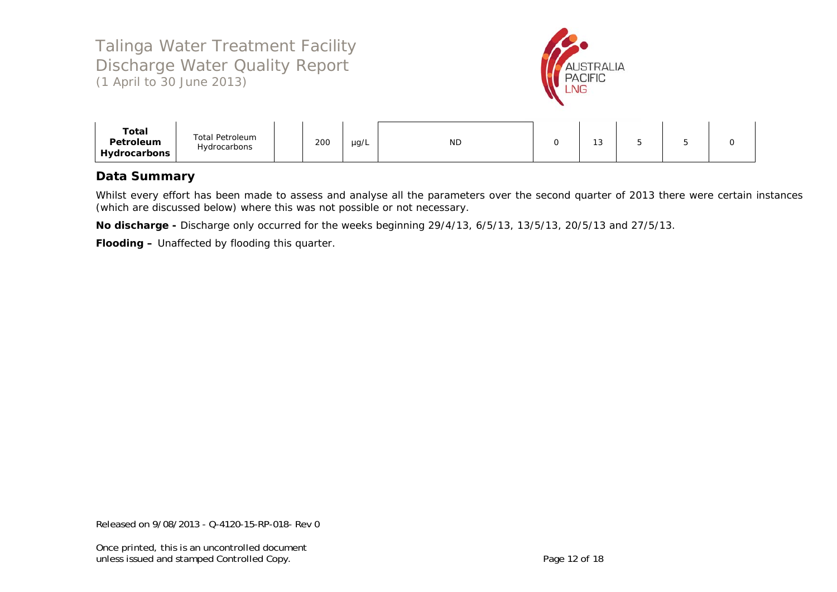

| Hydrocarbons | Total<br>Petroleum | <b>Total Petroleum</b><br>Hydrocarbons |  | 200 | µg/L | <b>ND</b> |  | $\sim$<br>ں ו |  |  |  |
|--------------|--------------------|----------------------------------------|--|-----|------|-----------|--|---------------|--|--|--|
|--------------|--------------------|----------------------------------------|--|-----|------|-----------|--|---------------|--|--|--|

### **Data Summary**

Whilst every effort has been made to assess and analyse all the parameters over the second quarter of 2013 there were certain instances (which are discussed below) where this was not possible or not necessary.

**No discharge -** Discharge only occurred for the weeks beginning 29/4/13, 6/5/13, 13/5/13, 20/5/13 and 27/5/13.

**Flooding –** Unaffected by flooding this quarter.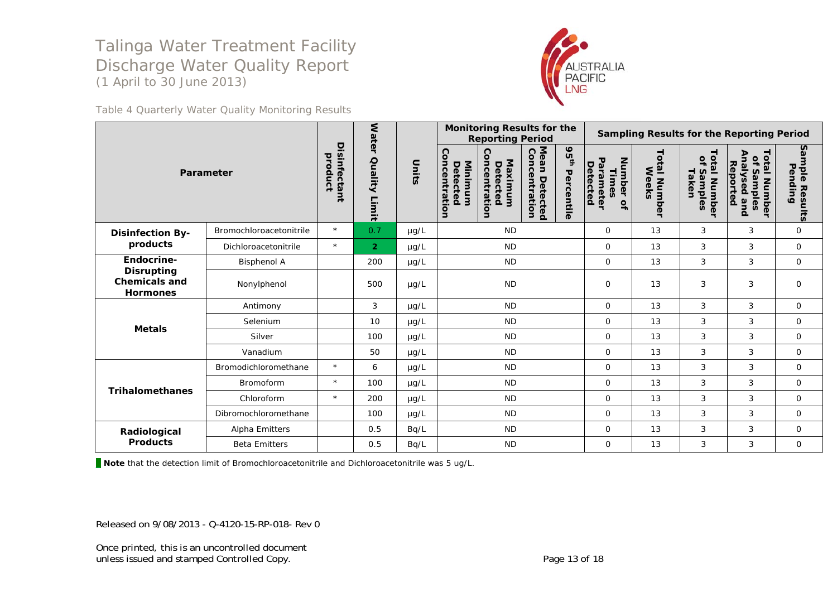

Table 4 Quarterly Water Quality Monitoring Results

|                                                              |                         |                         | <b>Wate</b>           |           |                                      | <b>Monitoring Results for the</b><br><b>Reporting Period</b> |                                   |                                |                                                                  |                      |                                                 | <b>Sampling Results for the Reporting Period</b>                 |                           |
|--------------------------------------------------------------|-------------------------|-------------------------|-----------------------|-----------|--------------------------------------|--------------------------------------------------------------|-----------------------------------|--------------------------------|------------------------------------------------------------------|----------------------|-------------------------------------------------|------------------------------------------------------------------|---------------------------|
|                                                              | Parameter               | Disinfectant<br>product | ┑<br>Quality<br>Limit | Units     | Concentration<br>Minimum<br>Detected | ဂ<br>oncentrati<br>Maximum<br>Detected<br>g                  | Mean<br>Concentration<br>Detectec | 95 <sup>th</sup><br>Percentile | <b>Number</b><br>Detected<br>arameter<br>Times<br>$\overline{a}$ | otal Number<br>Weeks | letal<br>٩<br>Taken<br>Samples<br><b>Number</b> | <b>Total Number</b><br>Analysed<br>of Samples<br>Reported<br>and | Sample Results<br>Pending |
| <b>Disinfection By-</b>                                      | Bromochloroacetonitrile | $\star$                 | 0.7                   | $\mu$ g/L |                                      | <b>ND</b>                                                    |                                   |                                | $\mathbf 0$                                                      | 13                   | 3                                               | 3                                                                | $\mathbf 0$               |
| products                                                     | Dichloroacetonitrile    | $\star$                 | $\overline{2}$        | $\mu$ g/L |                                      | <b>ND</b>                                                    |                                   |                                | $\mathsf{O}$                                                     | 13                   | 3                                               | 3                                                                | $\mathbf 0$               |
| Endocrine-                                                   | <b>Bisphenol A</b>      |                         | 200                   | $\mu$ g/L |                                      | <b>ND</b>                                                    |                                   |                                | $\mathbf 0$                                                      | 13                   | 3                                               | 3                                                                | $\mathbf 0$               |
| <b>Disrupting</b><br><b>Chemicals and</b><br><b>Hormones</b> | Nonylphenol             |                         | 500                   | µg/L      | <b>ND</b>                            |                                                              | $\mathbf 0$                       | 13                             | 3                                                                | 3                    | $\mathbf 0$                                     |                                                                  |                           |
|                                                              | Antimony                |                         | 3                     | µg/L      |                                      | <b>ND</b>                                                    |                                   |                                | $\mathsf{O}$                                                     | 13                   | 3                                               | 3                                                                | $\mathbf 0$               |
| <b>Metals</b>                                                | Selenium                |                         | 10                    | $\mu$ g/L |                                      | <b>ND</b>                                                    |                                   |                                | $\mathbf 0$                                                      | 13                   | 3                                               | 3                                                                | $\mathbf 0$               |
|                                                              | Silver                  |                         | 100                   | µg/L      |                                      | <b>ND</b>                                                    |                                   |                                | $\Omega$                                                         | 13                   | 3                                               | 3                                                                | $\circ$                   |
|                                                              | Vanadium                |                         | 50                    | $\mu$ g/L |                                      | <b>ND</b>                                                    |                                   |                                | $\Omega$                                                         | 13                   | 3                                               | 3                                                                | $\mathbf 0$               |
|                                                              | Bromodichloromethane    | $\star$                 | 6                     | µg/L      |                                      | <b>ND</b>                                                    |                                   |                                | $\mathbf 0$                                                      | 13                   | 3                                               | 3                                                                | $\mathbf 0$               |
| <b>Trihalomethanes</b>                                       | <b>Bromoform</b>        | $\star$                 | 100                   | µg/L      |                                      | <b>ND</b>                                                    |                                   |                                | $\Omega$                                                         | 13                   | 3                                               | 3                                                                | $\mathbf 0$               |
|                                                              | Chloroform              | $\star$                 | 200                   | $\mu$ g/L |                                      | <b>ND</b>                                                    |                                   |                                | $\mathbf 0$                                                      | 13                   | 3                                               | 3                                                                | $\mathbf 0$               |
|                                                              | Dibromochloromethane    |                         | 100                   | $\mu$ g/L |                                      | <b>ND</b>                                                    |                                   |                                | $\mathbf 0$                                                      | 13                   | 3                                               | 3                                                                | 0                         |
| Radiological                                                 | Alpha Emitters          |                         | 0.5                   | Bq/L      |                                      | <b>ND</b>                                                    |                                   |                                | $\mathbf 0$                                                      | 13                   | 3                                               | 3                                                                | 0                         |
| <b>Products</b>                                              | <b>Beta Emitters</b>    |                         | 0.5                   | Bq/L      |                                      | <b>ND</b>                                                    |                                   |                                | $\mathsf{O}$                                                     | 13                   | 3                                               | 3                                                                | $\mathbf 0$               |

\_ **Note** that the detection limit of Bromochloroacetonitrile and Dichloroacetonitrile was 5 ug/L.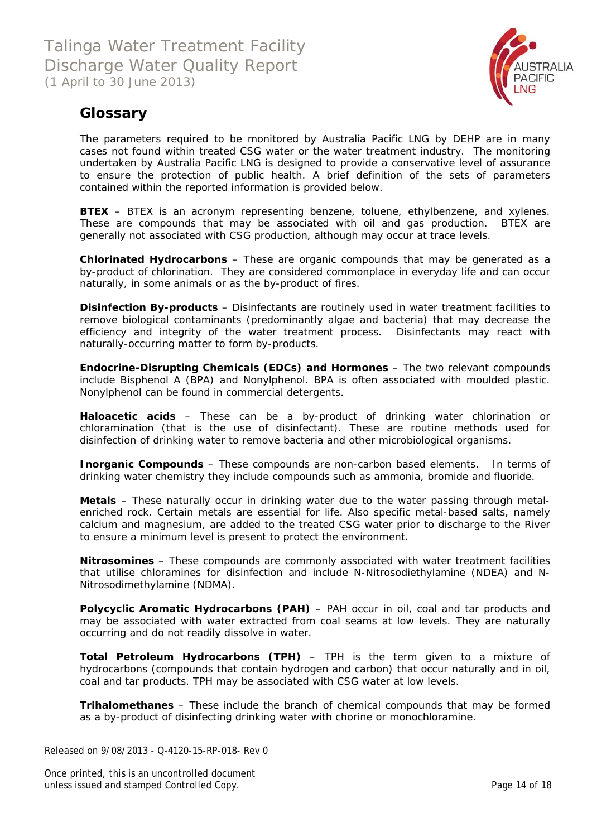

### **Glossary**

The parameters required to be monitored by Australia Pacific LNG by DEHP are in many cases not found within treated CSG water or the water treatment industry. The monitoring undertaken by Australia Pacific LNG is designed to provide a conservative level of assurance to ensure the protection of public health. A brief definition of the sets of parameters contained within the reported information is provided below.

**BTEX** – BTEX is an acronym representing benzene, toluene, ethylbenzene, and xylenes. These are compounds that may be associated with oil and gas production. BTEX are generally not associated with CSG production, although may occur at trace levels.

**Chlorinated Hydrocarbons** – These are organic compounds that may be generated as a by-product of chlorination. They are considered commonplace in everyday life and can occur naturally, in some animals or as the by-product of fires.

**Disinfection By-products** – Disinfectants are routinely used in water treatment facilities to remove biological contaminants (predominantly algae and bacteria) that may decrease the efficiency and integrity of the water treatment process. Disinfectants may react with naturally-occurring matter to form by-products.

**Endocrine-Disrupting Chemicals (EDCs) and Hormones** – The two relevant compounds include Bisphenol A (BPA) and Nonylphenol. BPA is often associated with moulded plastic. Nonylphenol can be found in commercial detergents.

**Haloacetic acids** – These can be a by-product of drinking water chlorination or chloramination (that is the use of disinfectant). These are routine methods used for disinfection of drinking water to remove bacteria and other microbiological organisms.

**Inorganic Compounds** – These compounds are non-carbon based elements. In terms of drinking water chemistry they include compounds such as ammonia, bromide and fluoride.

**Metals** – These naturally occur in drinking water due to the water passing through metalenriched rock. Certain metals are essential for life. Also specific metal-based salts, namely calcium and magnesium, are added to the treated CSG water prior to discharge to the River to ensure a minimum level is present to protect the environment.

**Nitrosomines** – These compounds are commonly associated with water treatment facilities that utilise chloramines for disinfection and include N-Nitrosodiethylamine (NDEA) and N-Nitrosodimethylamine (NDMA).

**Polycyclic Aromatic Hydrocarbons (PAH)** – PAH occur in oil, coal and tar products and may be associated with water extracted from coal seams at low levels. They are naturally occurring and do not readily dissolve in water.

**Total Petroleum Hydrocarbons (TPH)** – TPH is the term given to a mixture of hydrocarbons (compounds that contain hydrogen and carbon) that occur naturally and in oil, coal and tar products. TPH may be associated with CSG water at low levels.

**Trihalomethanes** – These include the branch of chemical compounds that may be formed as a by-product of disinfecting drinking water with chorine or monochloramine.

Released on 9/08/2013 - Q-4120-15-RP-018- Rev 0

Once printed, this is an uncontrolled document unless issued and stamped Controlled Copy. The extendion of the Page 14 of 18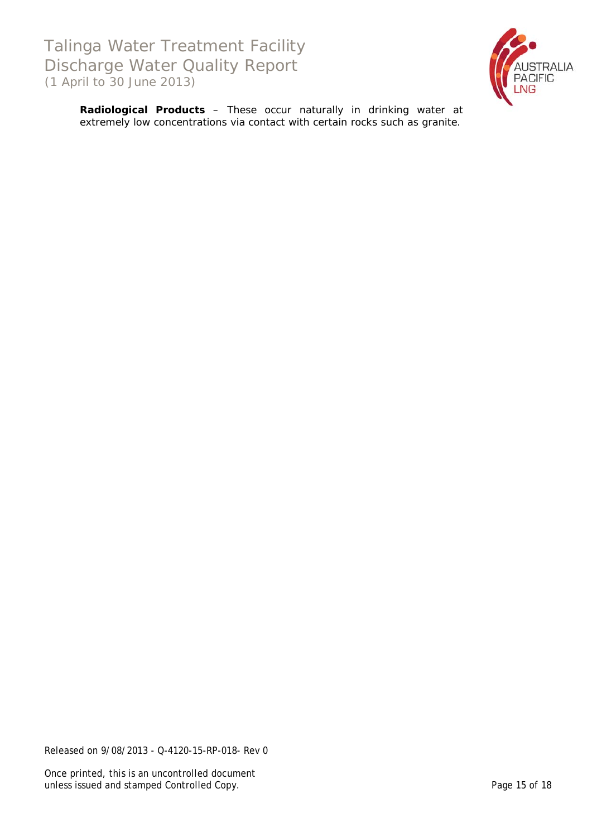

**Radiological Products** – These occur naturally in drinking water at extremely low concentrations *via* contact with certain rocks such as granite.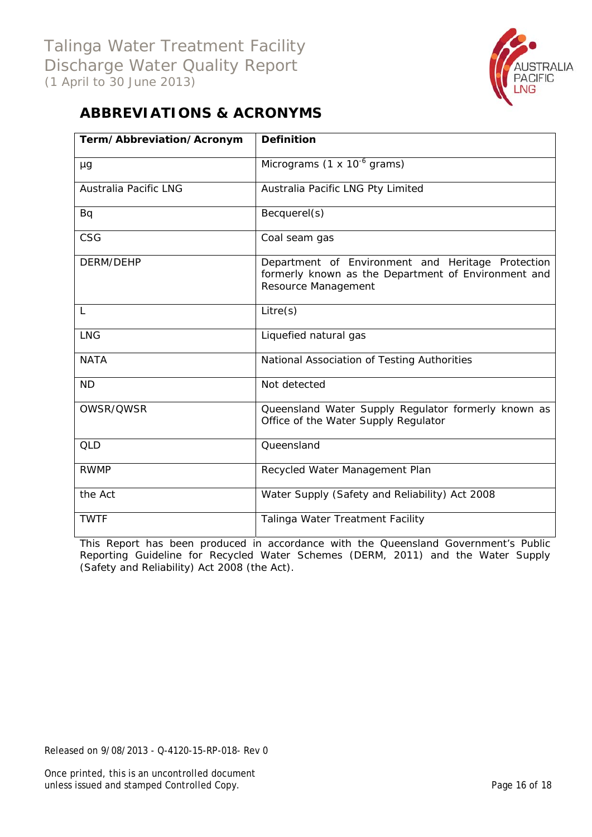

# **ABBREVIATIONS & ACRONYMS**

| Term/Abbreviation/Acronym    | <b>Definition</b>                                                                                                               |
|------------------------------|---------------------------------------------------------------------------------------------------------------------------------|
| μg                           | Micrograms $(1 \times 10^{-6}$ grams)                                                                                           |
| <b>Australia Pacific LNG</b> | Australia Pacific LNG Pty Limited                                                                                               |
| Bq                           | Becquerel(s)                                                                                                                    |
| CSG                          | Coal seam gas                                                                                                                   |
| DERM/DEHP                    | Department of Environment and Heritage Protection<br>formerly known as the Department of Environment and<br>Resource Management |
| L                            | Litre(s)                                                                                                                        |
| <b>LNG</b>                   | Liquefied natural gas                                                                                                           |
| <b>NATA</b>                  | National Association of Testing Authorities                                                                                     |
| <b>ND</b>                    | Not detected                                                                                                                    |
| OWSR/QWSR                    | Queensland Water Supply Regulator formerly known as<br>Office of the Water Supply Regulator                                     |
| <b>QLD</b>                   | Queensland                                                                                                                      |
| <b>RWMP</b>                  | Recycled Water Management Plan                                                                                                  |
| the Act                      | Water Supply (Safety and Reliability) Act 2008                                                                                  |
| <b>TWTF</b>                  | Talinga Water Treatment Facility                                                                                                |

This Report has been produced in accordance with the Queensland Government's *Public Reporting Guideline for Recycled Water Schemes* (DERM, 2011) and the *Water Supply (Safety and Reliability) Act 2008* (the Act).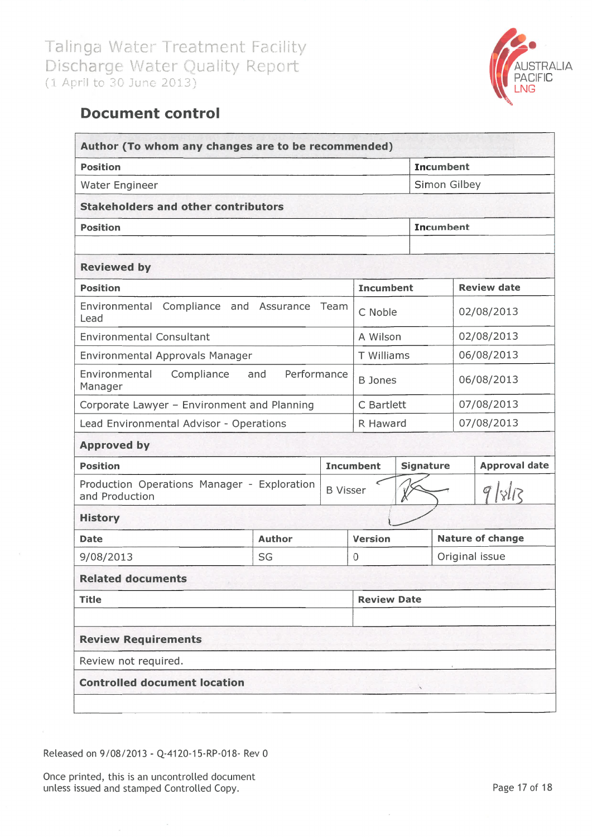

# **Document control**

| <b>Position</b>                                               |                    |                 |                    |                  | <b>Incumbent</b> |                      |
|---------------------------------------------------------------|--------------------|-----------------|--------------------|------------------|------------------|----------------------|
| Water Engineer                                                |                    |                 |                    |                  | Simon Gilbey     |                      |
| <b>Stakeholders and other contributors</b>                    |                    |                 |                    |                  |                  |                      |
| <b>Position</b>                                               |                    |                 |                    |                  | <b>Incumbent</b> |                      |
|                                                               |                    |                 |                    |                  |                  |                      |
| <b>Reviewed by</b><br><b>Position</b>                         |                    |                 | <b>Incumbent</b>   |                  |                  | <b>Review date</b>   |
|                                                               |                    |                 |                    |                  |                  |                      |
| Environmental Compliance and Assurance<br>Lead                |                    | Team            | C Noble            |                  |                  | 02/08/2013           |
| <b>Environmental Consultant</b>                               |                    |                 | A Wilson           |                  |                  | 02/08/2013           |
| Environmental Approvals Manager                               |                    |                 | T Williams         |                  |                  | 06/08/2013           |
| Compliance<br>Environmental<br>Manager                        | Performance<br>and |                 | <b>B</b> Jones     |                  |                  | 06/08/2013           |
| Corporate Lawyer - Environment and Planning                   |                    |                 | C Bartlett         |                  |                  | 07/08/2013           |
| Lead Environmental Advisor - Operations                       |                    |                 | R Haward           |                  |                  | 07/08/2013           |
| <b>Approved by</b>                                            |                    |                 |                    |                  |                  |                      |
| <b>Position</b>                                               |                    |                 | <b>Incumbent</b>   | <b>Signature</b> |                  | <b>Approval date</b> |
| Production Operations Manager - Exploration<br>and Production |                    | <b>B</b> Visser |                    |                  |                  | 9/8/13               |
| <b>History</b>                                                |                    |                 |                    |                  |                  |                      |
| <b>Date</b>                                                   | <b>Author</b>      |                 | <b>Version</b>     |                  |                  | Nature of change     |
| 9/08/2013                                                     | SG                 |                 | 0                  |                  |                  | Original issue       |
| <b>Related documents</b>                                      |                    |                 |                    |                  |                  |                      |
| <b>Title</b>                                                  |                    |                 | <b>Review Date</b> |                  |                  |                      |
| <b>Review Requirements</b>                                    |                    |                 |                    |                  |                  |                      |
| Review not required.                                          |                    |                 |                    |                  |                  |                      |
| <b>Controlled document location</b>                           |                    |                 |                    |                  |                  |                      |

Released on 9/08/2013 - Q-4120-15-RP-018- Rev 0

Once printed, this is an uncontrolled document unless issued and stamped Controlled Copy.